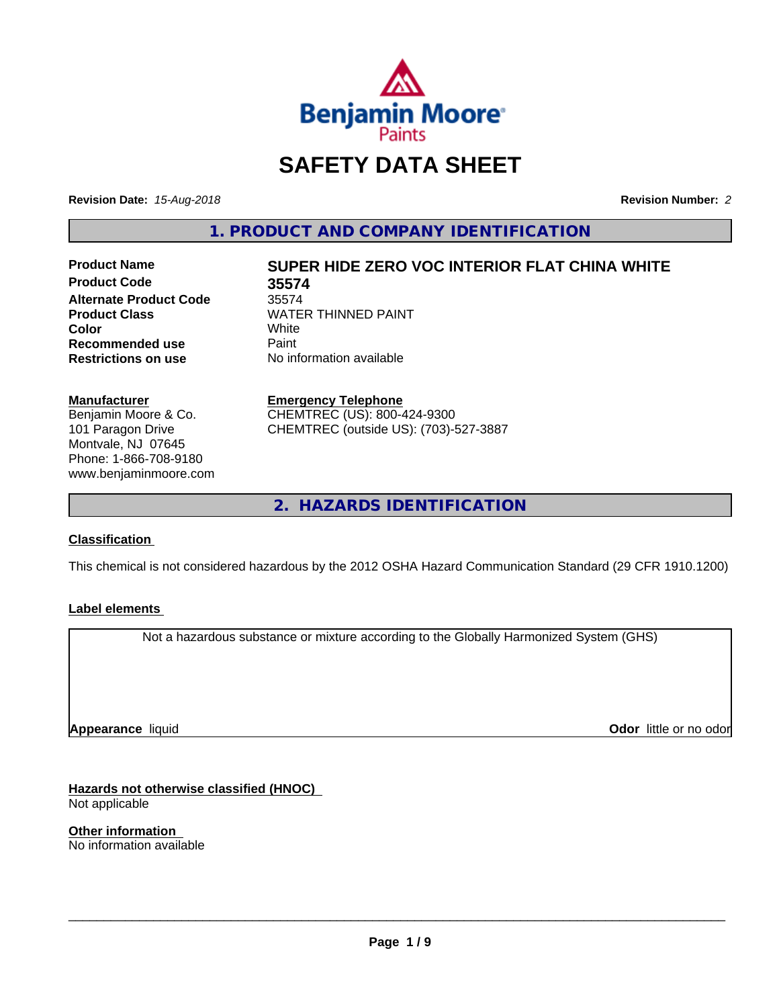

## **SAFETY DATA SHEET**

**Revision Date:** *15-Aug-2018* **Revision Number:** *2*

**1. PRODUCT AND COMPANY IDENTIFICATION**

**Product Code 35574 Alternate Product Code** 35574<br>**Product Class** WATE **Recommended use** Paint<br> **Restrictions on use** No inf

# **Product Name SUPER HIDE ZERO VOC INTERIOR FLAT CHINA WHITE**

**WATER THINNED PAINT**<br>White **Color** White White **No information available** 

**Manufacturer** Benjamin Moore & Co. 101 Paragon Drive Montvale, NJ 07645 Phone: 1-866-708-9180 www.benjaminmoore.com

#### **Emergency Telephone**

CHEMTREC (US): 800-424-9300 CHEMTREC (outside US): (703)-527-3887

**2. HAZARDS IDENTIFICATION**

#### **Classification**

This chemical is not considered hazardous by the 2012 OSHA Hazard Communication Standard (29 CFR 1910.1200)

#### **Label elements**

Not a hazardous substance or mixture according to the Globally Harmonized System (GHS)

**Appearance** liquid

**Odor** little or no odor

**Hazards not otherwise classified (HNOC)** Not applicable

**Other information** No information available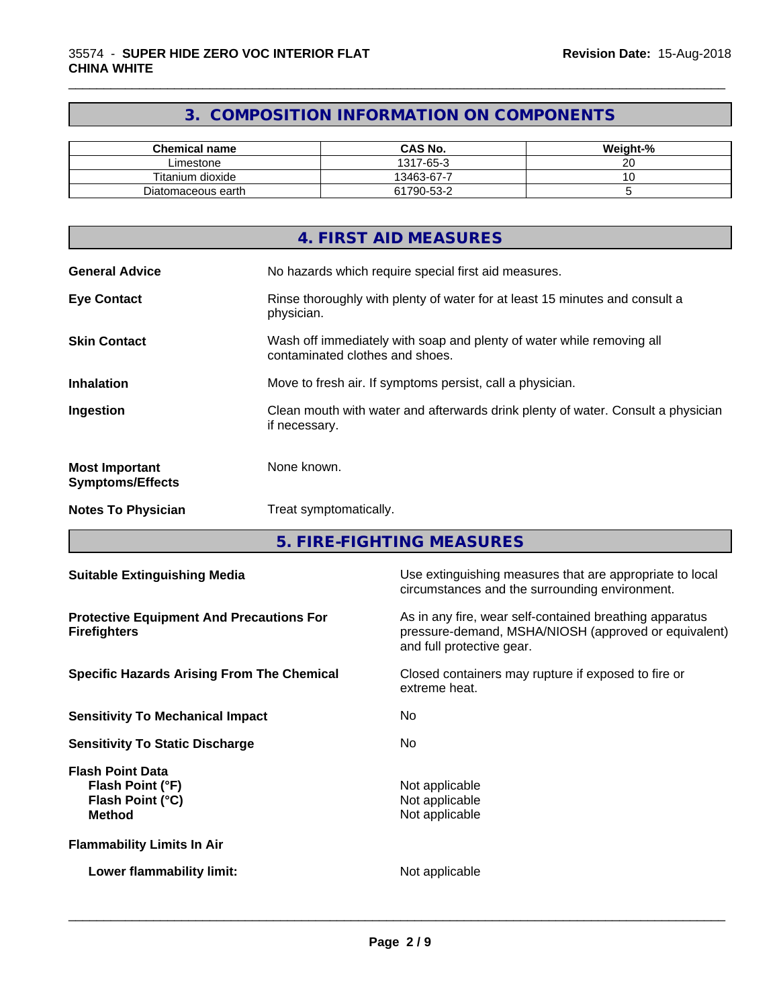### **3. COMPOSITION INFORMATION ON COMPONENTS**

\_\_\_\_\_\_\_\_\_\_\_\_\_\_\_\_\_\_\_\_\_\_\_\_\_\_\_\_\_\_\_\_\_\_\_\_\_\_\_\_\_\_\_\_\_\_\_\_\_\_\_\_\_\_\_\_\_\_\_\_\_\_\_\_\_\_\_\_\_\_\_\_\_\_\_\_\_\_\_\_\_\_\_\_\_\_\_\_\_\_\_\_\_

| <b>Chemical name</b> | <b>CAS No.</b> | Weight-% |
|----------------------|----------------|----------|
| Limestone            | 1317-65-3      | ~~<br>∠∪ |
| Titanium dioxide     | 13463-67-7     |          |
| Diatomaceous earth   | 61790-53-2     |          |

|                                                  | 4. FIRST AID MEASURES                                                                                    |
|--------------------------------------------------|----------------------------------------------------------------------------------------------------------|
| <b>General Advice</b>                            | No hazards which require special first aid measures.                                                     |
| <b>Eye Contact</b>                               | Rinse thoroughly with plenty of water for at least 15 minutes and consult a<br>physician.                |
| <b>Skin Contact</b>                              | Wash off immediately with soap and plenty of water while removing all<br>contaminated clothes and shoes. |
| <b>Inhalation</b>                                | Move to fresh air. If symptoms persist, call a physician.                                                |
| Ingestion                                        | Clean mouth with water and afterwards drink plenty of water. Consult a physician<br>if necessary.        |
| <b>Most Important</b><br><b>Symptoms/Effects</b> | None known.                                                                                              |
| <b>Notes To Physician</b>                        | Treat symptomatically.                                                                                   |

**5. FIRE-FIGHTING MEASURES**

| <b>Suitable Extinguishing Media</b>                                              | Use extinguishing measures that are appropriate to local<br>circumstances and the surrounding environment.                                   |
|----------------------------------------------------------------------------------|----------------------------------------------------------------------------------------------------------------------------------------------|
| <b>Protective Equipment And Precautions For</b><br><b>Firefighters</b>           | As in any fire, wear self-contained breathing apparatus<br>pressure-demand, MSHA/NIOSH (approved or equivalent)<br>and full protective gear. |
| <b>Specific Hazards Arising From The Chemical</b>                                | Closed containers may rupture if exposed to fire or<br>extreme heat.                                                                         |
| <b>Sensitivity To Mechanical Impact</b>                                          | No.                                                                                                                                          |
| <b>Sensitivity To Static Discharge</b>                                           | No.                                                                                                                                          |
| <b>Flash Point Data</b><br>Flash Point (°F)<br>Flash Point (°C)<br><b>Method</b> | Not applicable<br>Not applicable<br>Not applicable                                                                                           |
| <b>Flammability Limits In Air</b>                                                |                                                                                                                                              |
| Lower flammability limit:                                                        | Not applicable                                                                                                                               |
|                                                                                  |                                                                                                                                              |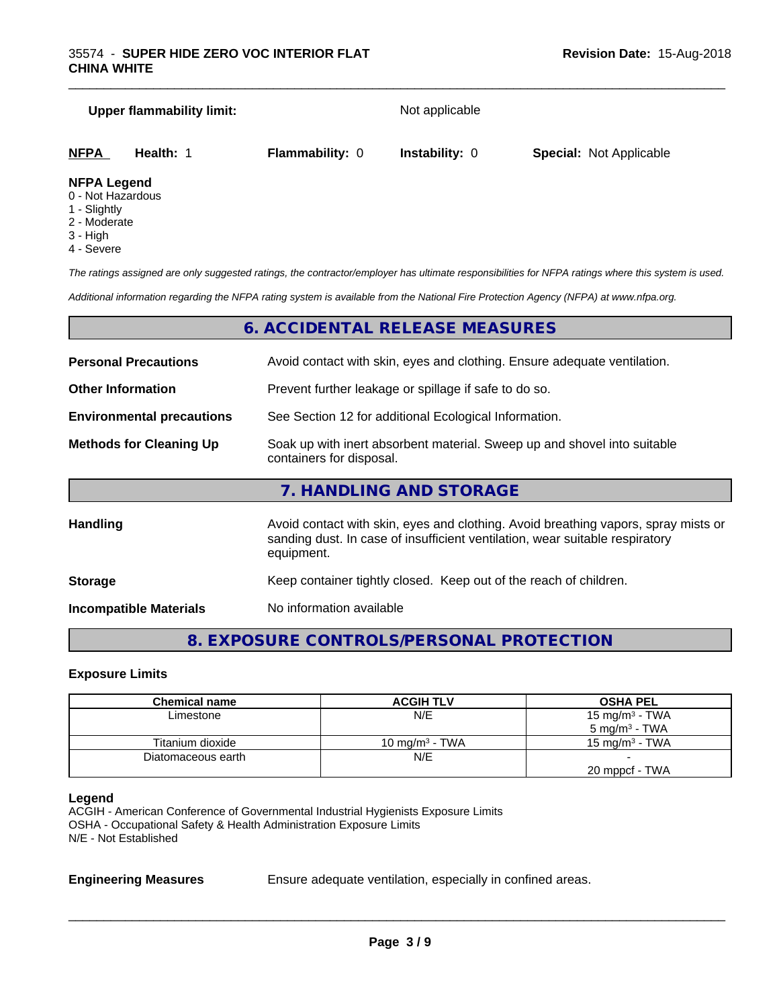#### **Upper flammability limit:** Not applicable

\_\_\_\_\_\_\_\_\_\_\_\_\_\_\_\_\_\_\_\_\_\_\_\_\_\_\_\_\_\_\_\_\_\_\_\_\_\_\_\_\_\_\_\_\_\_\_\_\_\_\_\_\_\_\_\_\_\_\_\_\_\_\_\_\_\_\_\_\_\_\_\_\_\_\_\_\_\_\_\_\_\_\_\_\_\_\_\_\_\_\_\_\_

| <u>NFPA</u>         | Health: | <b>Flammability: 0</b> | <b>Instability: 0</b> | <b>Special: Not Applicable</b> |  |
|---------------------|---------|------------------------|-----------------------|--------------------------------|--|
| <b>NIEDA LANAMA</b> |         |                        |                       |                                |  |

#### **NFPA Legend**

- 0 Not Hazardous
- 1 Slightly
- 2 Moderate
- 3 High
- 4 Severe

*The ratings assigned are only suggested ratings, the contractor/employer has ultimate responsibilities for NFPA ratings where this system is used.*

*Additional information regarding the NFPA rating system is available from the National Fire Protection Agency (NFPA) at www.nfpa.org.*

#### **6. ACCIDENTAL RELEASE MEASURES**

| <b>Personal Precautions</b>                                                                                                            | Avoid contact with skin, eyes and clothing. Ensure adequate ventilation.                                                                                                         |  |  |
|----------------------------------------------------------------------------------------------------------------------------------------|----------------------------------------------------------------------------------------------------------------------------------------------------------------------------------|--|--|
| <b>Other Information</b>                                                                                                               | Prevent further leakage or spillage if safe to do so.                                                                                                                            |  |  |
| <b>Environmental precautions</b>                                                                                                       | See Section 12 for additional Ecological Information.                                                                                                                            |  |  |
| Soak up with inert absorbent material. Sweep up and shovel into suitable<br><b>Methods for Cleaning Up</b><br>containers for disposal. |                                                                                                                                                                                  |  |  |
|                                                                                                                                        | 7. HANDLING AND STORAGE                                                                                                                                                          |  |  |
| <b>Handling</b>                                                                                                                        | Avoid contact with skin, eyes and clothing. Avoid breathing vapors, spray mists or<br>sanding dust. In case of insufficient ventilation, wear suitable respiratory<br>equipment. |  |  |
| <b>Storage</b>                                                                                                                         | Keep container tightly closed. Keep out of the reach of children.                                                                                                                |  |  |

**Incompatible Materials** No information available

## **8. EXPOSURE CONTROLS/PERSONAL PROTECTION**

#### **Exposure Limits**

| Chemical name      | <b>ACGIH TLV</b>           | <b>OSHA PEL</b>            |
|--------------------|----------------------------|----------------------------|
| Limestone          | N/E                        | 15 mg/m <sup>3</sup> - TWA |
|                    |                            | $5 \text{ mg/m}^3$ - TWA   |
| Titanium dioxide   | 10 mg/m <sup>3</sup> - TWA | 15 mg/m $3$ - TWA          |
| Diatomaceous earth | N/E                        |                            |
|                    |                            | 20 mppcf - TWA             |

#### **Legend**

ACGIH - American Conference of Governmental Industrial Hygienists Exposure Limits OSHA - Occupational Safety & Health Administration Exposure Limits N/E - Not Established

**Engineering Measures** Ensure adequate ventilation, especially in confined areas.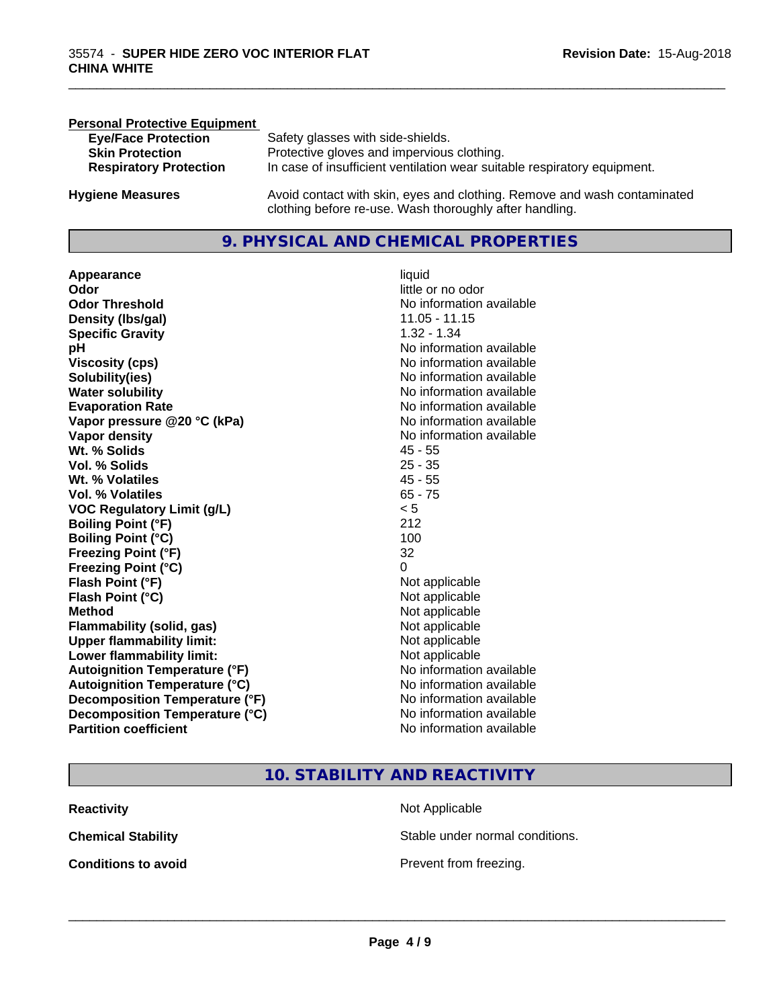| <b>Personal Protective Equipment</b> |                                                                                                                                     |
|--------------------------------------|-------------------------------------------------------------------------------------------------------------------------------------|
| <b>Eye/Face Protection</b>           | Safety glasses with side-shields.                                                                                                   |
| <b>Skin Protection</b>               | Protective gloves and impervious clothing.                                                                                          |
| <b>Respiratory Protection</b>        | In case of insufficient ventilation wear suitable respiratory equipment.                                                            |
| <b>Hygiene Measures</b>              | Avoid contact with skin, eyes and clothing. Remove and wash contaminated<br>clothing before re-use. Wash thoroughly after handling. |

#### **9. PHYSICAL AND CHEMICAL PROPERTIES**

**Appearance** liquid **Odor** little or no odor **Odor Threshold** No information available **Density (lbs/gal)** 11.05 - 11.15 **Specific Gravity** 1.32 - 1.34 **pH pH**  $\blacksquare$ **Viscosity (cps)** No information available<br> **Solubility(ies)** No information available<br>
No information available **Solubility(ies)**<br> **No** information available<br> **Water solubility**<br> **Water solubility Evaporation Rate No information available No information available Vapor pressure @20 °C (kPa)** No information available **Vapor density**<br> **Vapor density**<br> **With % Solids**<br>
With % Solids
2018 Wt. % Solids **Vol. % Solids** 25 - 35 **Wt. % Volatiles** 45 - 55 **Vol. % Volatiles** 65 - 75<br> **VOC Regulatory Limit (g/L)** 65 - 75 **VOC** Regulatory Limit (g/L) **Boiling Point (°F)** 212 **Boiling Point (°C)** 100 **Freezing Point (°F)** 32 **Freezing Point (°C)** 0 **Flash Point (°F)**<br> **Flash Point (°C)**<br> **Flash Point (°C)**<br> **C Flash Point (°C) Method** Not applicable Not applicable **Flammability (solid, gas)**<br> **Upper flammability limit:**<br>
Upper flammability limit:<br>  $\begin{array}{ccc}\n\bullet & \bullet & \bullet \\
\bullet & \bullet & \bullet\n\end{array}$ **Upper flammability limit: Lower flammability limit:** Not applicable **Autoignition Temperature (°F)** No information available **Autoignition Temperature (°C)** No information available **Decomposition Temperature (°F)** No information available<br> **Decomposition Temperature (°C)** No information available **Decomposition Temperature (°C)**<br>Partition coefficient

**No information available No information available** 

\_\_\_\_\_\_\_\_\_\_\_\_\_\_\_\_\_\_\_\_\_\_\_\_\_\_\_\_\_\_\_\_\_\_\_\_\_\_\_\_\_\_\_\_\_\_\_\_\_\_\_\_\_\_\_\_\_\_\_\_\_\_\_\_\_\_\_\_\_\_\_\_\_\_\_\_\_\_\_\_\_\_\_\_\_\_\_\_\_\_\_\_\_

#### **10. STABILITY AND REACTIVITY**

| Reactivity                 |  |  |
|----------------------------|--|--|
| Chemical Stability         |  |  |
| <b>Conditions to avoid</b> |  |  |

**Not Applicable** Stable under normal conditions.

**Prevent from freezing.**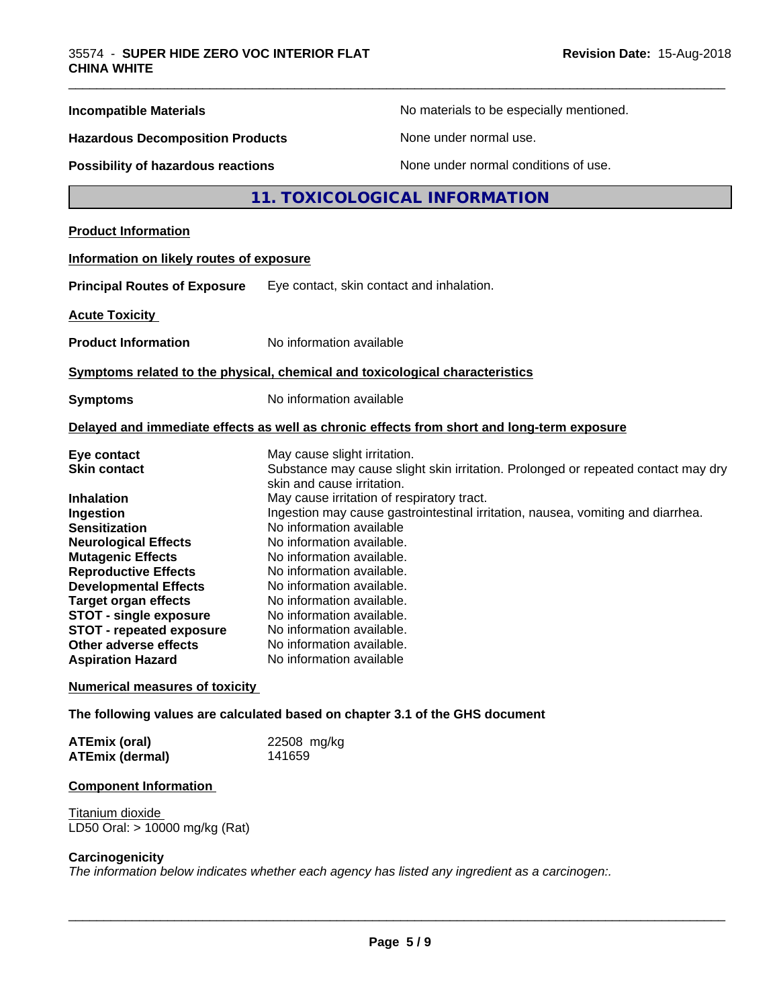| <b>Incompatible Materials</b>                                                |                                                                                 | No materials to be especially mentioned.                                                   |  |
|------------------------------------------------------------------------------|---------------------------------------------------------------------------------|--------------------------------------------------------------------------------------------|--|
| <b>Hazardous Decomposition Products</b>                                      |                                                                                 | None under normal use.                                                                     |  |
| <b>Possibility of hazardous reactions</b>                                    |                                                                                 | None under normal conditions of use.                                                       |  |
|                                                                              |                                                                                 | 11. TOXICOLOGICAL INFORMATION                                                              |  |
| <b>Product Information</b>                                                   |                                                                                 |                                                                                            |  |
| Information on likely routes of exposure                                     |                                                                                 |                                                                                            |  |
| <b>Principal Routes of Exposure</b>                                          | Eye contact, skin contact and inhalation.                                       |                                                                                            |  |
| <b>Acute Toxicity</b>                                                        |                                                                                 |                                                                                            |  |
| <b>Product Information</b>                                                   | No information available                                                        |                                                                                            |  |
| Symptoms related to the physical, chemical and toxicological characteristics |                                                                                 |                                                                                            |  |
| <b>Symptoms</b>                                                              | No information available                                                        |                                                                                            |  |
|                                                                              |                                                                                 | Delayed and immediate effects as well as chronic effects from short and long-term exposure |  |
| Eye contact                                                                  | May cause slight irritation.                                                    |                                                                                            |  |
| <b>Skin contact</b>                                                          | skin and cause irritation.                                                      | Substance may cause slight skin irritation. Prolonged or repeated contact may dry          |  |
| <b>Inhalation</b>                                                            | May cause irritation of respiratory tract.                                      |                                                                                            |  |
| Ingestion<br><b>Sensitization</b>                                            | Ingestion may cause gastrointestinal irritation, nausea, vomiting and diarrhea. |                                                                                            |  |
| <b>Neurological Effects</b>                                                  | No information available<br>No information available.                           |                                                                                            |  |
| <b>Mutagenic Effects</b>                                                     | No information available.                                                       |                                                                                            |  |
| <b>Reproductive Effects</b>                                                  | No information available.                                                       |                                                                                            |  |
| <b>Developmental Effects</b>                                                 | No information available.                                                       |                                                                                            |  |
| <b>Target organ effects</b>                                                  | No information available.                                                       |                                                                                            |  |
| <b>STOT - single exposure</b>                                                | No information available.                                                       |                                                                                            |  |
| <b>STOT - repeated exposure</b>                                              | No information available.                                                       |                                                                                            |  |
| <b>Other adverse effects</b>                                                 | No information available.                                                       |                                                                                            |  |
| <b>Aspiration Hazard</b>                                                     | No information available                                                        |                                                                                            |  |
| <b>Numerical measures of toxicity</b>                                        |                                                                                 |                                                                                            |  |
| The following values are calculated based on chapter 3.1 of the GHS document |                                                                                 |                                                                                            |  |
| <b>ATEmix (oral)</b>                                                         | 22508 mg/kg                                                                     |                                                                                            |  |
| <b>ATEmix (dermal)</b>                                                       | 141659                                                                          |                                                                                            |  |
|                                                                              |                                                                                 |                                                                                            |  |

#### **Component Information**

**Titanium dioxide** LD50 Oral: > 10000 mg/kg (Rat)

#### **Carcinogenicity**

*The information below indicateswhether each agency has listed any ingredient as a carcinogen:.*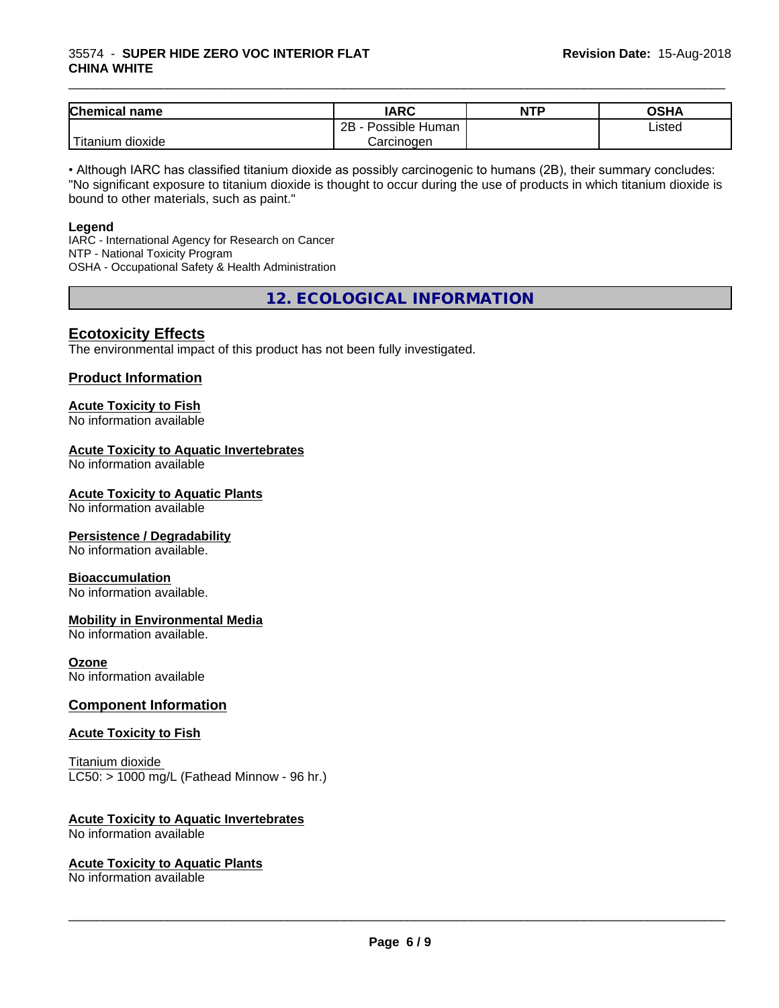#### 35574 - **SUPER HIDE ZERO VOC INTERIOR FLAT CHINA WHITE**

| <b>Chemical</b><br>name  | <b>IARC</b>                 | <b>NTP</b> | OSHA   |
|--------------------------|-----------------------------|------------|--------|
|                          | . .<br>2B<br>Possible Human |            | Listed |
| $-1$<br>⊺itanium dioxide | Carcinogen                  |            |        |

\_\_\_\_\_\_\_\_\_\_\_\_\_\_\_\_\_\_\_\_\_\_\_\_\_\_\_\_\_\_\_\_\_\_\_\_\_\_\_\_\_\_\_\_\_\_\_\_\_\_\_\_\_\_\_\_\_\_\_\_\_\_\_\_\_\_\_\_\_\_\_\_\_\_\_\_\_\_\_\_\_\_\_\_\_\_\_\_\_\_\_\_\_

• Although IARC has classified titanium dioxide as possibly carcinogenic to humans (2B), their summary concludes: "No significant exposure to titanium dioxide is thought to occur during the use of products in which titanium dioxide is bound to other materials, such as paint."

#### **Legend**

IARC - International Agency for Research on Cancer NTP - National Toxicity Program OSHA - Occupational Safety & Health Administration

**12. ECOLOGICAL INFORMATION**

#### **Ecotoxicity Effects**

The environmental impact of this product has not been fully investigated.

#### **Product Information**

## **Acute Toxicity to Fish**

No information available

#### **Acute Toxicity to Aquatic Invertebrates**

No information available

#### **Acute Toxicity to Aquatic Plants**

No information available

#### **Persistence / Degradability**

No information available.

#### **Bioaccumulation**

No information available.

#### **Mobility in Environmental Media**

No information available.

#### **Ozone**

No information available

#### **Component Information**

#### **Acute Toxicity to Fish**

Titanium dioxide  $LC50:$  > 1000 mg/L (Fathead Minnow - 96 hr.)

#### **Acute Toxicity to Aquatic Invertebrates**

No information available

#### **Acute Toxicity to Aquatic Plants**

No information available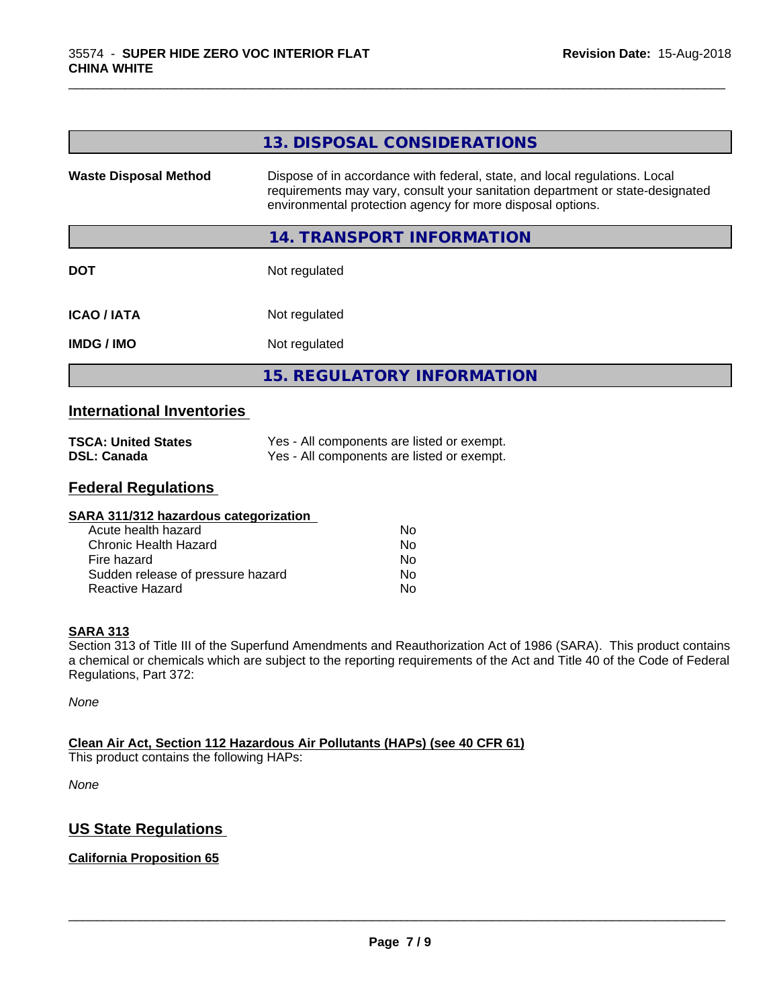|                              | 13. DISPOSAL CONSIDERATIONS                                                                                                                                                                                               |
|------------------------------|---------------------------------------------------------------------------------------------------------------------------------------------------------------------------------------------------------------------------|
| <b>Waste Disposal Method</b> | Dispose of in accordance with federal, state, and local regulations. Local<br>requirements may vary, consult your sanitation department or state-designated<br>environmental protection agency for more disposal options. |
|                              | 14. TRANSPORT INFORMATION                                                                                                                                                                                                 |
| <b>DOT</b>                   | Not regulated                                                                                                                                                                                                             |
| <b>ICAO / IATA</b>           | Not regulated                                                                                                                                                                                                             |
| <b>IMDG / IMO</b>            | Not regulated                                                                                                                                                                                                             |
|                              | <b>15. REGULATORY INFORMATION</b>                                                                                                                                                                                         |

\_\_\_\_\_\_\_\_\_\_\_\_\_\_\_\_\_\_\_\_\_\_\_\_\_\_\_\_\_\_\_\_\_\_\_\_\_\_\_\_\_\_\_\_\_\_\_\_\_\_\_\_\_\_\_\_\_\_\_\_\_\_\_\_\_\_\_\_\_\_\_\_\_\_\_\_\_\_\_\_\_\_\_\_\_\_\_\_\_\_\_\_\_

#### **International Inventories**

| <b>TSCA: United States</b> | Yes - All components are listed or exempt. |
|----------------------------|--------------------------------------------|
| <b>DSL: Canada</b>         | Yes - All components are listed or exempt. |

#### **Federal Regulations**

| SARA 311/312 hazardous categorization |    |  |
|---------------------------------------|----|--|
| Acute health hazard                   | Nο |  |
| Chronic Health Hazard                 | No |  |
| Fire hazard                           | No |  |
| Sudden release of pressure hazard     | No |  |
| Reactive Hazard                       | No |  |

#### **SARA 313**

Section 313 of Title III of the Superfund Amendments and Reauthorization Act of 1986 (SARA). This product contains a chemical or chemicals which are subject to the reporting requirements of the Act and Title 40 of the Code of Federal Regulations, Part 372:

*None*

#### **Clean Air Act,Section 112 Hazardous Air Pollutants (HAPs) (see 40 CFR 61)**

This product contains the following HAPs:

*None*

#### **US State Regulations**

#### **California Proposition 65**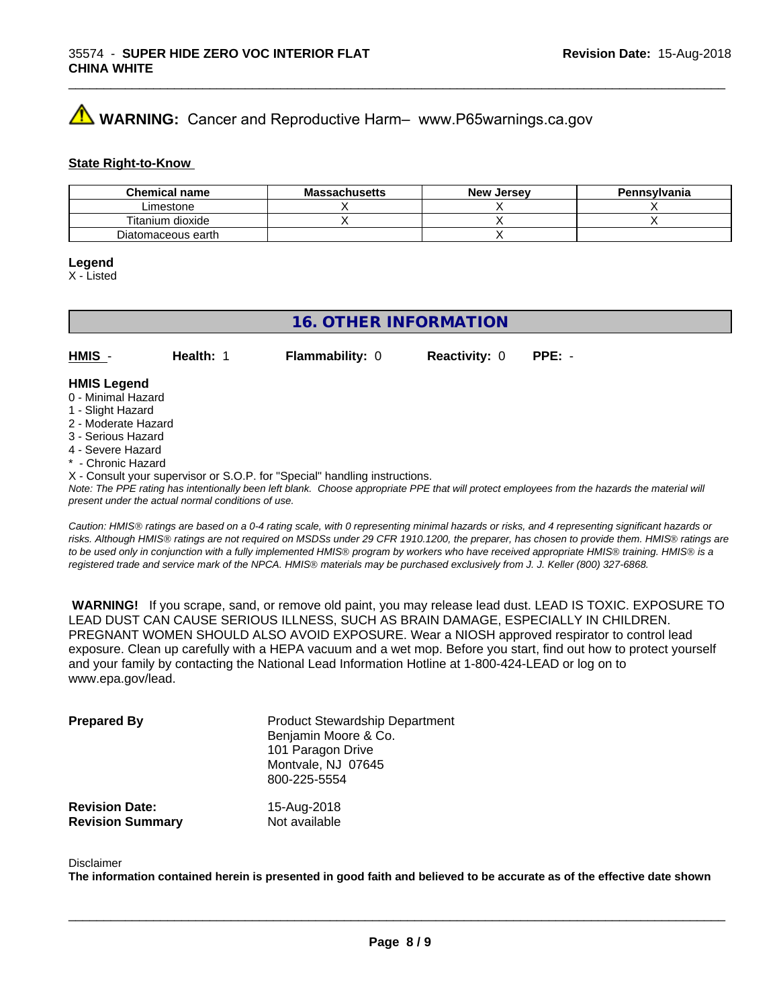## **A** WARNING: Cancer and Reproductive Harm– www.P65warnings.ca.gov

#### **State Right-to-Know**

| <b>Chemical name</b> | <b>Massachusetts</b> | <b>New Jersey</b> | Pennsylvania |
|----------------------|----------------------|-------------------|--------------|
| Limestone            |                      |                   |              |
| Titanium dioxide     |                      |                   |              |
| Diatomaceous earth   |                      |                   |              |

#### **Legend**

X - Listed

#### **16. OTHER INFORMATION**

**HMIS** - **Health:** 1 **Flammability:** 0 **Reactivity:** 0 **PPE:** -

#### **HMIS Legend**

- 0 Minimal Hazard
- 1 Slight Hazard
- 2 Moderate Hazard
- 3 Serious Hazard
- 4 Severe Hazard
- **Chronic Hazard**
- X Consult your supervisor or S.O.P. for "Special" handling instructions.

*Note: The PPE rating has intentionally been left blank. Choose appropriate PPE that will protect employees from the hazards the material will present under the actual normal conditions of use.*

*Caution: HMISÒ ratings are based on a 0-4 rating scale, with 0 representing minimal hazards or risks, and 4 representing significant hazards or risks. Although HMISÒ ratings are not required on MSDSs under 29 CFR 1910.1200, the preparer, has chosen to provide them. HMISÒ ratings are to be used only in conjunction with a fully implemented HMISÒ program by workers who have received appropriate HMISÒ training. HMISÒ is a registered trade and service mark of the NPCA. HMISÒ materials may be purchased exclusively from J. J. Keller (800) 327-6868.*

 **WARNING!** If you scrape, sand, or remove old paint, you may release lead dust. LEAD IS TOXIC. EXPOSURE TO LEAD DUST CAN CAUSE SERIOUS ILLNESS, SUCH AS BRAIN DAMAGE, ESPECIALLY IN CHILDREN. PREGNANT WOMEN SHOULD ALSO AVOID EXPOSURE.Wear a NIOSH approved respirator to control lead exposure. Clean up carefully with a HEPA vacuum and a wet mop. Before you start, find out how to protect yourself and your family by contacting the National Lead Information Hotline at 1-800-424-LEAD or log on to www.epa.gov/lead.

| <b>Prepared By</b>                               | <b>Product Stewardship Department</b><br>Benjamin Moore & Co.<br>101 Paragon Drive<br>Montvale, NJ 07645<br>800-225-5554 |  |
|--------------------------------------------------|--------------------------------------------------------------------------------------------------------------------------|--|
| <b>Revision Date:</b><br><b>Revision Summary</b> | 15-Aug-2018<br>Not available                                                                                             |  |

#### Disclaimer

The information contained herein is presented in good faith and believed to be accurate as of the effective date shown